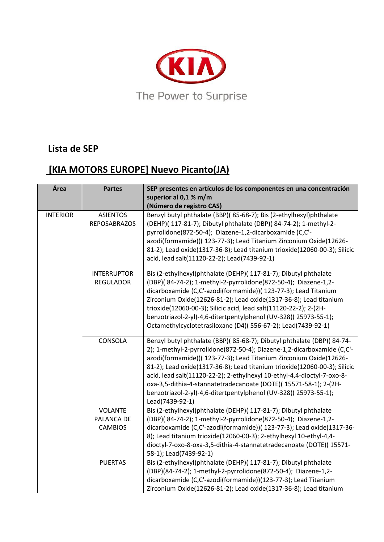

## **Lista de SEP**

## **[KIA MOTORS EUROPE] Nuevo Picanto(JA)**

| Área            | <b>Partes</b>                                  | SEP presentes en artículos de los componentes en una concentración<br>superior al 0,1 % m/m<br>(Número de registro CAS)                                                                                                                                                                                                                                                                                                                                                                                                                 |
|-----------------|------------------------------------------------|-----------------------------------------------------------------------------------------------------------------------------------------------------------------------------------------------------------------------------------------------------------------------------------------------------------------------------------------------------------------------------------------------------------------------------------------------------------------------------------------------------------------------------------------|
| <b>INTERIOR</b> | <b>ASIENTOS</b><br><b>REPOSABRAZOS</b>         | Benzyl butyl phthalate (BBP)(85-68-7); Bis (2-ethylhexyl)phthalate<br>(DEHP)( 117-81-7); Dibutyl phthalate (DBP)( 84-74-2); 1-methyl-2-<br>pyrrolidone(872-50-4); Diazene-1,2-dicarboxamide (C,C'-<br>azodi(formamide))( 123-77-3); Lead Titanium Zirconium Oxide(12626-<br>81-2); Lead oxide(1317-36-8); Lead titanium trioxide(12060-00-3); Silicic<br>acid, lead salt(11120-22-2); Lead(7439-92-1)                                                                                                                                   |
|                 | <b>INTERRUPTOR</b><br><b>REGULADOR</b>         | Bis (2-ethylhexyl)phthalate (DEHP)( 117-81-7); Dibutyl phthalate<br>(DBP)(84-74-2); 1-methyl-2-pyrrolidone(872-50-4); Diazene-1,2-<br>dicarboxamide (C,C'-azodi(formamide))( 123-77-3); Lead Titanium<br>Zirconium Oxide(12626-81-2); Lead oxide(1317-36-8); Lead titanium<br>trioxide(12060-00-3); Silicic acid, lead salt(11120-22-2); 2-(2H-<br>benzotriazol-2-yl)-4,6-ditertpentylphenol (UV-328)(25973-55-1);<br>Octamethylcyclotetrasiloxane (D4)(556-67-2); Lead(7439-92-1)                                                      |
|                 | CONSOLA                                        | Benzyl butyl phthalate (BBP)(85-68-7); Dibutyl phthalate (DBP)(84-74-<br>2); 1-methyl-2-pyrrolidone(872-50-4); Diazene-1,2-dicarboxamide (C,C'-<br>azodi(formamide))( 123-77-3); Lead Titanium Zirconium Oxide(12626-<br>81-2); Lead oxide(1317-36-8); Lead titanium trioxide(12060-00-3); Silicic<br>acid, lead salt(11120-22-2); 2-ethylhexyl 10-ethyl-4,4-dioctyl-7-oxo-8-<br>oxa-3,5-dithia-4-stannatetradecanoate (DOTE)(15571-58-1); 2-(2H-<br>benzotriazol-2-yl)-4,6-ditertpentylphenol (UV-328)(25973-55-1);<br>Lead(7439-92-1) |
|                 | <b>VOLANTE</b><br>PALANCA DE<br><b>CAMBIOS</b> | Bis (2-ethylhexyl)phthalate (DEHP)( 117-81-7); Dibutyl phthalate<br>(DBP)( 84-74-2); 1-methyl-2-pyrrolidone(872-50-4); Diazene-1,2-<br>dicarboxamide (C,C'-azodi(formamide))( 123-77-3); Lead oxide(1317-36-<br>8); Lead titanium trioxide(12060-00-3); 2-ethylhexyl 10-ethyl-4,4-<br>dioctyl-7-oxo-8-oxa-3,5-dithia-4-stannatetradecanoate (DOTE)(15571-<br>58-1); Lead(7439-92-1)                                                                                                                                                     |
|                 | <b>PUERTAS</b>                                 | Bis (2-ethylhexyl)phthalate (DEHP)( 117-81-7); Dibutyl phthalate<br>(DBP)(84-74-2); 1-methyl-2-pyrrolidone(872-50-4); Diazene-1,2-<br>dicarboxamide (C,C'-azodi(formamide))(123-77-3); Lead Titanium<br>Zirconium Oxide(12626-81-2); Lead oxide(1317-36-8); Lead titanium                                                                                                                                                                                                                                                               |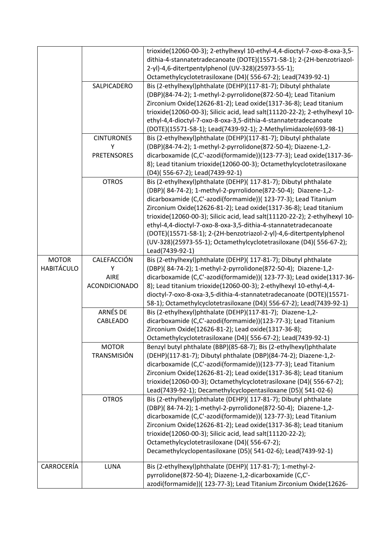|                                   |                                                         | trioxide(12060-00-3); 2-ethylhexyl 10-ethyl-4,4-dioctyl-7-oxo-8-oxa-3,5-<br>dithia-4-stannatetradecanoate (DOTE)(15571-58-1); 2-(2H-benzotriazol-<br>2-yl)-4,6-ditertpentylphenol (UV-328)(25973-55-1);<br>Octamethylcyclotetrasiloxane (D4)(556-67-2); Lead(7439-92-1)                                                                                                                                                                                                                                                                                                                       |
|-----------------------------------|---------------------------------------------------------|-----------------------------------------------------------------------------------------------------------------------------------------------------------------------------------------------------------------------------------------------------------------------------------------------------------------------------------------------------------------------------------------------------------------------------------------------------------------------------------------------------------------------------------------------------------------------------------------------|
|                                   | SALPICADERO                                             | Bis (2-ethylhexyl)phthalate (DEHP)(117-81-7); Dibutyl phthalate<br>(DBP)(84-74-2); 1-methyl-2-pyrrolidone(872-50-4); Lead Titanium<br>Zirconium Oxide(12626-81-2); Lead oxide(1317-36-8); Lead titanium<br>trioxide(12060-00-3); Silicic acid, lead salt(11120-22-2); 2-ethylhexyl 10-<br>ethyl-4,4-dioctyl-7-oxo-8-oxa-3,5-dithia-4-stannatetradecanoate<br>(DOTE)(15571-58-1); Lead(7439-92-1); 2-Methylimidazole(693-98-1)                                                                                                                                                                 |
|                                   | <b>CINTURONES</b><br>Υ                                  | Bis (2-ethylhexyl)phthalate (DEHP)(117-81-7); Dibutyl phthalate<br>(DBP)(84-74-2); 1-methyl-2-pyrrolidone(872-50-4); Diazene-1,2-                                                                                                                                                                                                                                                                                                                                                                                                                                                             |
|                                   | <b>PRETENSORES</b>                                      | dicarboxamide (C,C'-azodi(formamide))(123-77-3); Lead oxide(1317-36-<br>8); Lead titanium trioxide(12060-00-3); Octamethylcyclotetrasiloxane<br>(D4)(556-67-2); Lead(7439-92-1)                                                                                                                                                                                                                                                                                                                                                                                                               |
|                                   | <b>OTROS</b>                                            | Bis (2-ethylhexyl)phthalate (DEHP)( 117-81-7); Dibutyl phthalate<br>(DBP)(84-74-2); 1-methyl-2-pyrrolidone(872-50-4); Diazene-1,2-<br>dicarboxamide (C,C'-azodi(formamide))( 123-77-3); Lead Titanium<br>Zirconium Oxide(12626-81-2); Lead oxide(1317-36-8); Lead titanium<br>trioxide(12060-00-3); Silicic acid, lead salt(11120-22-2); 2-ethylhexyl 10-<br>ethyl-4,4-dioctyl-7-oxo-8-oxa-3,5-dithia-4-stannatetradecanoate<br>(DOTE)(15571-58-1); 2-(2H-benzotriazol-2-yl)-4,6-ditertpentylphenol<br>(UV-328)(25973-55-1); Octamethylcyclotetrasiloxane (D4)( 556-67-2);<br>Lead(7439-92-1) |
| <b>MOTOR</b><br><b>HABITÁCULO</b> | CALEFACCIÓN<br>Υ<br><b>AIRE</b><br><b>ACONDICIONADO</b> | Bis (2-ethylhexyl)phthalate (DEHP)( 117-81-7); Dibutyl phthalate<br>(DBP)(84-74-2); 1-methyl-2-pyrrolidone(872-50-4); Diazene-1,2-<br>dicarboxamide (C,C'-azodi(formamide))( 123-77-3); Lead oxide(1317-36-<br>8); Lead titanium trioxide(12060-00-3); 2-ethylhexyl 10-ethyl-4,4-<br>dioctyl-7-oxo-8-oxa-3,5-dithia-4-stannatetradecanoate (DOTE)(15571-                                                                                                                                                                                                                                      |
|                                   | ARNÉS DE<br>CABLEADO                                    | 58-1); Octamethylcyclotetrasiloxane (D4)(556-67-2); Lead(7439-92-1)<br>Bis (2-ethylhexyl)phthalate (DEHP)(117-81-7); Diazene-1,2-<br>dicarboxamide (C,C'-azodi(formamide))(123-77-3); Lead Titanium<br>Zirconium Oxide(12626-81-2); Lead oxide(1317-36-8);<br>Octamethylcyclotetrasiloxane (D4)(556-67-2); Lead(7439-92-1)                                                                                                                                                                                                                                                                    |
|                                   | <b>MOTOR</b><br><b>TRANSMISIÓN</b>                      | Benzyl butyl phthalate (BBP)(85-68-7); Bis (2-ethylhexyl)phthalate<br>(DEHP)(117-81-7); Dibutyl phthalate (DBP)(84-74-2); Diazene-1,2-<br>dicarboxamide (C,C'-azodi(formamide))(123-77-3); Lead Titanium<br>Zirconium Oxide(12626-81-2); Lead oxide(1317-36-8); Lead titanium<br>trioxide(12060-00-3); Octamethylcyclotetrasiloxane (D4)(556-67-2);<br>Lead(7439-92-1); Decamethylcyclopentasiloxane (D5)(541-02-6)                                                                                                                                                                           |
|                                   | <b>OTROS</b>                                            | Bis (2-ethylhexyl)phthalate (DEHP)( 117-81-7); Dibutyl phthalate<br>(DBP)(84-74-2); 1-methyl-2-pyrrolidone(872-50-4); Diazene-1,2-<br>dicarboxamide (C,C'-azodi(formamide))( 123-77-3); Lead Titanium<br>Zirconium Oxide(12626-81-2); Lead oxide(1317-36-8); Lead titanium<br>trioxide(12060-00-3); Silicic acid, lead salt(11120-22-2);<br>Octamethylcyclotetrasiloxane (D4)(556-67-2);<br>Decamethylcyclopentasiloxane (D5)(541-02-6); Lead(7439-92-1)                                                                                                                                      |
| CARROCERÍA                        | LUNA                                                    | Bis (2-ethylhexyl)phthalate (DEHP)( 117-81-7); 1-methyl-2-<br>pyrrolidone(872-50-4); Diazene-1,2-dicarboxamide (C,C'-<br>azodi(formamide))( 123-77-3); Lead Titanium Zirconium Oxide(12626-                                                                                                                                                                                                                                                                                                                                                                                                   |